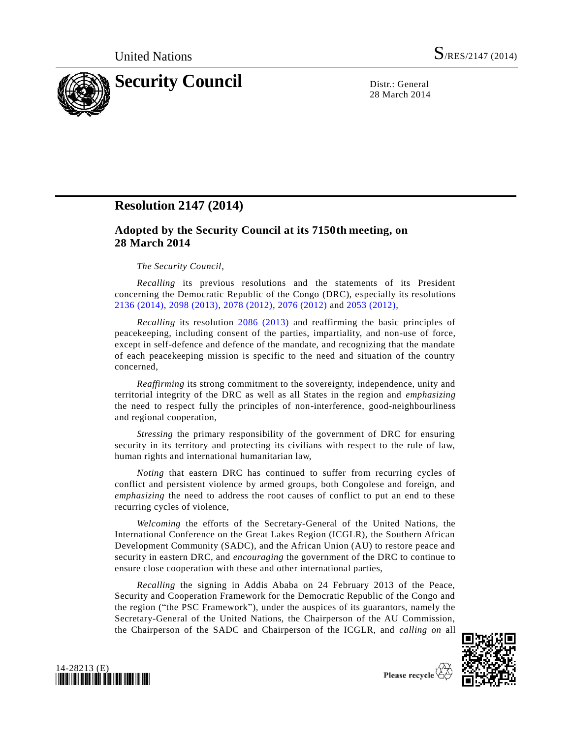

28 March 2014

# **Resolution 2147 (2014)**

## **Adopted by the Security Council at its 7150th meeting, on 28 March 2014**

## *The Security Council*,

*Recalling* its previous resolutions and the statements of its President concerning the Democratic Republic of the Congo (DRC), especially its resolutions [2136 \(2014\),](http://undocs.org/S/RES/2136(2014)) [2098 \(2013\),](http://undocs.org/S/RES/2098(2013)) [2078 \(2012\),](http://undocs.org/S/RES/2078(2012)) [2076 \(2012\)](http://undocs.org/S/RES/2076(2012)) and [2053 \(2012\),](http://undocs.org/S/RES/2053(2012))

*Recalling* its resolution [2086 \(2013\)](http://undocs.org/S/RES/2086(2013)) and reaffirming the basic principles of peacekeeping, including consent of the parties, impartiality, and non-use of force, except in self-defence and defence of the mandate, and recognizing that the mandate of each peacekeeping mission is specific to the need and situation of the country concerned,

*Reaffirming* its strong commitment to the sovereignty, independence, unity and territorial integrity of the DRC as well as all States in the region and *emphasizing* the need to respect fully the principles of non-interference, good-neighbourliness and regional cooperation,

*Stressing* the primary responsibility of the government of DRC for ensuring security in its territory and protecting its civilians with respect to the rule of law, human rights and international humanitarian law,

*Noting* that eastern DRC has continued to suffer from recurring cycles of conflict and persistent violence by armed groups, both Congolese and foreign, and *emphasizing* the need to address the root causes of conflict to put an end to these recurring cycles of violence,

*Welcoming* the efforts of the Secretary-General of the United Nations, the International Conference on the Great Lakes Region (ICGLR), the Southern African Development Community (SADC), and the African Union (AU) to restore peace and security in eastern DRC, and *encouraging* the government of the DRC to continue to ensure close cooperation with these and other international parties,

*Recalling* the signing in Addis Ababa on 24 February 2013 of the Peace, Security and Cooperation Framework for the Democratic Republic of the Congo and the region ("the PSC Framework"), under the auspices of its guarantors, namely the Secretary-General of the United Nations, the Chairperson of the AU Commission, the Chairperson of the SADC and Chairperson of the ICGLR, and *calling on* all



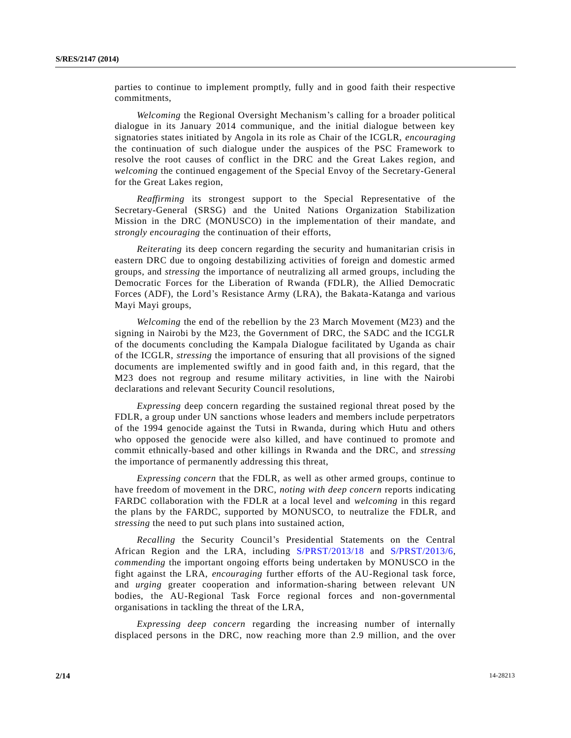parties to continue to implement promptly, fully and in good faith their respective commitments,

*Welcoming* the Regional Oversight Mechanism's calling for a broader political dialogue in its January 2014 communique, and the initial dialogue between key signatories states initiated by Angola in its role as Chair of the ICGLR, *encouraging* the continuation of such dialogue under the auspices of the PSC Framework to resolve the root causes of conflict in the DRC and the Great Lakes region, and *welcoming* the continued engagement of the Special Envoy of the Secretary-General for the Great Lakes region,

*Reaffirming* its strongest support to the Special Representative of the Secretary-General (SRSG) and the United Nations Organization Stabilization Mission in the DRC (MONUSCO) in the implementation of their mandate, and *strongly encouraging* the continuation of their efforts,

*Reiterating* its deep concern regarding the security and humanitarian crisis in eastern DRC due to ongoing destabilizing activities of foreign and domestic armed groups, and *stressing* the importance of neutralizing all armed groups, including the Democratic Forces for the Liberation of Rwanda (FDLR), the Allied Democratic Forces (ADF), the Lord's Resistance Army (LRA), the Bakata-Katanga and various Mayi Mayi groups,

*Welcoming* the end of the rebellion by the 23 March Movement (M23) and the signing in Nairobi by the M23, the Government of DRC, the SADC and the ICGLR of the documents concluding the Kampala Dialogue facilitated by Uganda as chair of the ICGLR, *stressing* the importance of ensuring that all provisions of the signed documents are implemented swiftly and in good faith and, in this regard, that the M23 does not regroup and resume military activities, in line with the Nairobi declarations and relevant Security Council resolutions,

*Expressing* deep concern regarding the sustained regional threat posed by the FDLR, a group under UN sanctions whose leaders and members include perpetrators of the 1994 genocide against the Tutsi in Rwanda, during which Hutu and others who opposed the genocide were also killed, and have continued to promote and commit ethnically-based and other killings in Rwanda and the DRC, and *stressing* the importance of permanently addressing this threat,

*Expressing concern* that the FDLR, as well as other armed groups, continue to have freedom of movement in the DRC, *noting with deep concern* reports indicating FARDC collaboration with the FDLR at a local level and *welcoming* in this regard the plans by the FARDC, supported by MONUSCO, to neutralize the FDLR, and *stressing* the need to put such plans into sustained action,

*Recalling* the Security Council's Presidential Statements on the Central African Region and the LRA, including [S/PRST/2013/18](http://undocs.org/S/PRST/2013/18) and [S/PRST/2013/6,](http://undocs.org/S/PRST/2013/6) *commending* the important ongoing efforts being undertaken by MONUSCO in the fight against the LRA, *encouraging* further efforts of the AU-Regional task force, and *urging* greater cooperation and information-sharing between relevant UN bodies, the AU-Regional Task Force regional forces and non-governmental organisations in tackling the threat of the LRA,

*Expressing deep concern* regarding the increasing number of internally displaced persons in the DRC, now reaching more than 2.9 million, and the over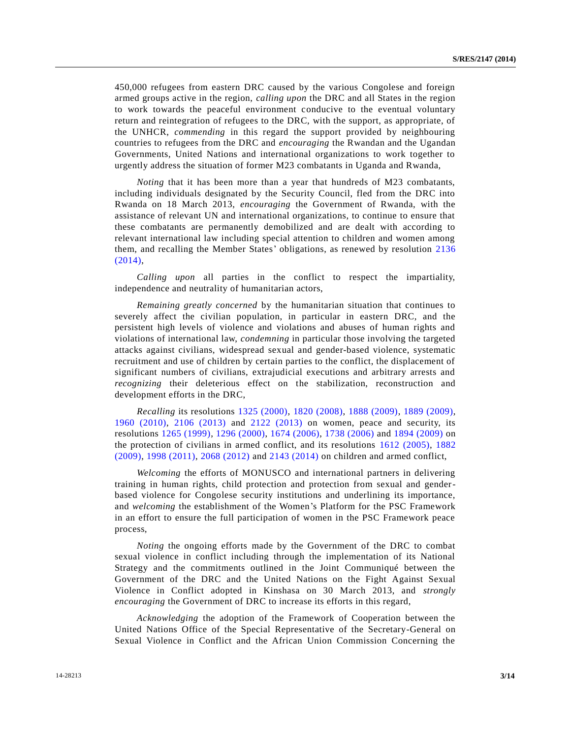450,000 refugees from eastern DRC caused by the various Congolese and foreign armed groups active in the region, *calling upon* the DRC and all States in the region to work towards the peaceful environment conducive to the eventual voluntary return and reintegration of refugees to the DRC, with the support, as appropriate, of the UNHCR, *commending* in this regard the support provided by neighbouring countries to refugees from the DRC and *encouraging* the Rwandan and the Ugandan Governments, United Nations and international organizations to work together to urgently address the situation of former M23 combatants in Uganda and Rwanda,

*Noting* that it has been more than a year that hundreds of M23 combatants, including individuals designated by the Security Council, fled from the DRC into Rwanda on 18 March 2013, *encouraging* the Government of Rwanda, with the assistance of relevant UN and international organizations, to continue to ensure that these combatants are permanently demobilized and are dealt with according to relevant international law including special attention to children and women among them, and recalling the Member States' obligations, as renewed by resolution [2136](http://undocs.org/S/RES/2136(2014))  [\(2014\),](http://undocs.org/S/RES/2136(2014))

*Calling upon* all parties in the conflict to respect the impartiality, independence and neutrality of humanitarian actors,

*Remaining greatly concerned* by the humanitarian situation that continues to severely affect the civilian population, in particular in eastern DRC, and the persistent high levels of violence and violations and abuses of human rights and violations of international law, *condemning* in particular those involving the targeted attacks against civilians, widespread sexual and gender-based violence, systematic recruitment and use of children by certain parties to the conflict, the displacement of significant numbers of civilians, extrajudicial executions and arbitrary arrests and *recognizing* their deleterious effect on the stabilization, reconstruction and development efforts in the DRC,

*Recalling* its resolutions [1325 \(2000\),](http://undocs.org/S/RES/1325(2000)) [1820 \(2008\),](http://undocs.org/S/RES/1820(2008)) [1888 \(2009\),](http://undocs.org/S/RES/1888(2009)) [1889 \(2009\),](http://undocs.org/S/RES/1889(2009)) [1960 \(2010\),](http://undocs.org/S/RES/1960(2010)) [2106 \(2013\)](http://undocs.org/S/RES/2106(2013)) and [2122 \(2013\)](http://undocs.org/S/RES/2122(2013)) on women, peace and security, its resolutions [1265 \(1999\),](http://undocs.org/S/RES/1265(1999)) [1296 \(2000\),](http://undocs.org/S/RES/1296(2000)) [1674 \(2006\),](http://undocs.org/S/RES/1674(2006)) [1738 \(2006\)](http://undocs.org/S/RES/1738(2006)) and [1894 \(2009\)](http://undocs.org/S/RES/1894(2009)) on the protection of civilians in armed conflict, and its resolutions [1612 \(2005\),](http://undocs.org/S/RES/1612(2005)) [1882](http://undocs.org/S/RES/1882(2009))  [\(2009\),](http://undocs.org/S/RES/1882(2009)) [1998 \(2011\),](http://undocs.org/S/RES/1998(2011)) [2068 \(2012\)](http://undocs.org/S/RES/2068(2012)) and [2143 \(2014\)](http://undocs.org/S/RES/2143(2014)) on children and armed conflict,

*Welcoming* the efforts of MONUSCO and international partners in delivering training in human rights, child protection and protection from sexual and genderbased violence for Congolese security institutions and underlining its importance, and *welcoming* the establishment of the Women's Platform for the PSC Framework in an effort to ensure the full participation of women in the PSC Framework peace process,

*Noting* the ongoing efforts made by the Government of the DRC to combat sexual violence in conflict including through the implementation of its National Strategy and the commitments outlined in the Joint Communiqué between the Government of the DRC and the United Nations on the Fight Against Sexual Violence in Conflict adopted in Kinshasa on 30 March 2013, and *strongly encouraging* the Government of DRC to increase its efforts in this regard,

*Acknowledging* the adoption of the Framework of Cooperation between the United Nations Office of the Special Representative of the Secretary-General on Sexual Violence in Conflict and the African Union Commission Concerning the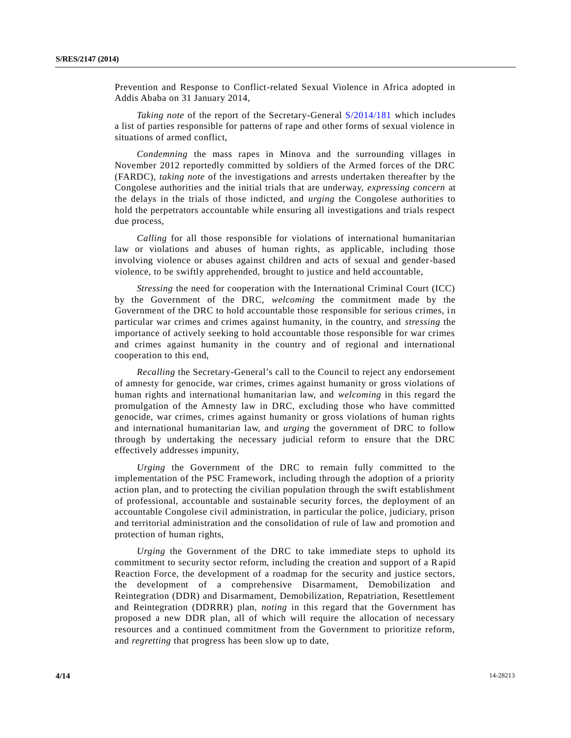Prevention and Response to Conflict-related Sexual Violence in Africa adopted in Addis Ababa on 31 January 2014,

*Taking note* of the report of the Secretary-General [S/2014/181](http://undocs.org/S/2014/181) which includes a list of parties responsible for patterns of rape and other forms of sexual violence in situations of armed conflict,

*Condemning* the mass rapes in Minova and the surrounding villages in November 2012 reportedly committed by soldiers of the Armed forces of the DRC (FARDC), *taking note* of the investigations and arrests undertaken thereafter by the Congolese authorities and the initial trials that are underway, *expressing concern* at the delays in the trials of those indicted, and *urging* the Congolese authorities to hold the perpetrators accountable while ensuring all investigations and trials respect due process,

*Calling* for all those responsible for violations of international humanitarian law or violations and abuses of human rights, as applicable, including those involving violence or abuses against children and acts of sexual and gender-based violence, to be swiftly apprehended, brought to justice and held accountable,

*Stressing* the need for cooperation with the International Criminal Court (ICC) by the Government of the DRC, *welcoming* the commitment made by the Government of the DRC to hold accountable those responsible for serious crimes, i n particular war crimes and crimes against humanity, in the country, and *stressing* the importance of actively seeking to hold accountable those responsible for war crimes and crimes against humanity in the country and of regional and international cooperation to this end,

*Recalling* the Secretary-General's call to the Council to reject any endorsement of amnesty for genocide, war crimes, crimes against humanity or gross violations of human rights and international humanitarian law, and *welcoming* in this regard the promulgation of the Amnesty law in DRC, excluding those who have committed genocide, war crimes, crimes against humanity or gross violations of human rights and international humanitarian law, and *urging* the government of DRC to follow through by undertaking the necessary judicial reform to ensure that the DRC effectively addresses impunity,

*Urging* the Government of the DRC to remain fully committed to the implementation of the PSC Framework, including through the adoption of a priority action plan, and to protecting the civilian population through the swift establishment of professional, accountable and sustainable security forces, the deployment of an accountable Congolese civil administration, in particular the police, judiciary, prison and territorial administration and the consolidation of rule of law and promotion and protection of human rights,

*Urging* the Government of the DRC to take immediate steps to uphold its commitment to security sector reform, including the creation and support of a Rapid Reaction Force, the development of a roadmap for the security and justice sectors, the development of a comprehensive Disarmament, Demobilization and Reintegration (DDR) and Disarmament, Demobilization, Repatriation, Resettlement and Reintegration (DDRRR) plan, *noting* in this regard that the Government has proposed a new DDR plan, all of which will require the allocation of necessary resources and a continued commitment from the Government to prioritize reform, and *regretting* that progress has been slow up to date,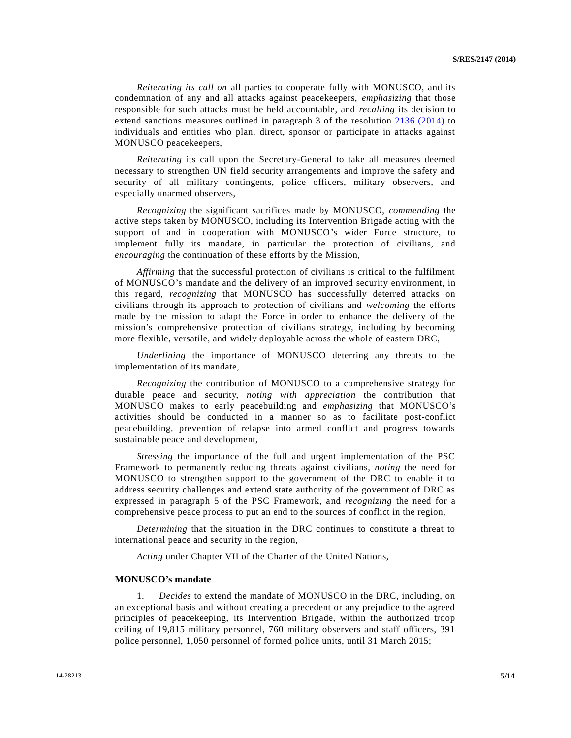*Reiterating its call on* all parties to cooperate fully with MONUSCO, and its condemnation of any and all attacks against peacekeepers, *emphasizing* that those responsible for such attacks must be held accountable, and *recalling* its decision to extend sanctions measures outlined in paragraph 3 of the resolution [2136 \(2014\)](http://undocs.org/S/RES/2136(2014)) to individuals and entities who plan, direct, sponsor or participate in attacks against MONUSCO peacekeepers,

*Reiterating* its call upon the Secretary-General to take all measures deemed necessary to strengthen UN field security arrangements and improve the safety and security of all military contingents, police officers, military observers, and especially unarmed observers,

*Recognizing* the significant sacrifices made by MONUSCO, *commending* the active steps taken by MONUSCO, including its Intervention Brigade acting with the support of and in cooperation with MONUSCO's wider Force structure, to implement fully its mandate, in particular the protection of civilians, and *encouraging* the continuation of these efforts by the Mission,

*Affirming* that the successful protection of civilians is critical to the fulfilment of MONUSCO's mandate and the delivery of an improved security environment, in this regard, *recognizing* that MONUSCO has successfully deterred attacks on civilians through its approach to protection of civilians and *welcoming* the efforts made by the mission to adapt the Force in order to enhance the delivery of the mission's comprehensive protection of civilians strategy, including by becoming more flexible, versatile, and widely deployable across the whole of eastern DRC,

*Underlining* the importance of MONUSCO deterring any threats to the implementation of its mandate,

*Recognizing* the contribution of MONUSCO to a comprehensive strategy for durable peace and security, *noting with appreciation* the contribution that MONUSCO makes to early peacebuilding and *emphasizing* that MONUSCO's activities should be conducted in a manner so as to facilitate post-conflict peacebuilding, prevention of relapse into armed conflict and progress towards sustainable peace and development,

*Stressing* the importance of the full and urgent implementation of the PSC Framework to permanently reducing threats against civilians, *noting* the need for MONUSCO to strengthen support to the government of the DRC to enable it to address security challenges and extend state authority of the government of DRC as expressed in paragraph 5 of the PSC Framework, and *recognizing* the need for a comprehensive peace process to put an end to the sources of conflict in the region,

*Determining* that the situation in the DRC continues to constitute a threat to international peace and security in the region,

*Acting* under Chapter VII of the Charter of the United Nations,

## **MONUSCO's mandate**

1. *Decides* to extend the mandate of MONUSCO in the DRC, including, on an exceptional basis and without creating a precedent or any prejudice to the agreed principles of peacekeeping, its Intervention Brigade, within the authorized troop ceiling of 19,815 military personnel, 760 military observers and staff officers, 391 police personnel, 1,050 personnel of formed police units, until 31 March 2015;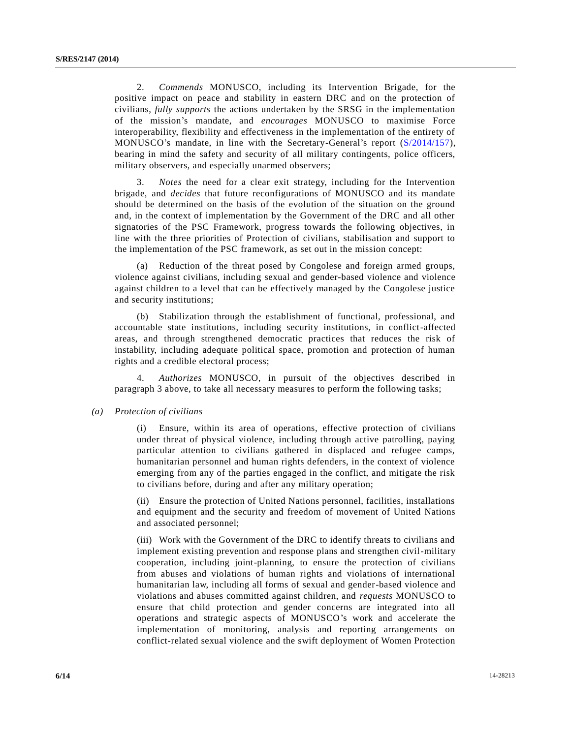2. *Commends* MONUSCO, including its Intervention Brigade, for the positive impact on peace and stability in eastern DRC and on the protection of civilians, *fully supports* the actions undertaken by the SRSG in the implementation of the mission's mandate, and *encourages* MONUSCO to maximise Force interoperability, flexibility and effectiveness in the implementation of the entirety of MONUSCO's mandate, in line with the Secretary-General's report [\(S/2014/157\)](http://undocs.org/S/2014/157), bearing in mind the safety and security of all military contingents, police officers, military observers, and especially unarmed observers;

3. *Notes* the need for a clear exit strategy, including for the Intervention brigade, and *decides* that future reconfigurations of MONUSCO and its mandate should be determined on the basis of the evolution of the situation on the ground and, in the context of implementation by the Government of the DRC and all other signatories of the PSC Framework, progress towards the following objectives, in line with the three priorities of Protection of civilians, stabilisation and support to the implementation of the PSC framework, as set out in the mission concept:

(a) Reduction of the threat posed by Congolese and foreign armed groups, violence against civilians, including sexual and gender-based violence and violence against children to a level that can be effectively managed by the Congolese justice and security institutions;

(b) Stabilization through the establishment of functional, professional, and accountable state institutions, including security institutions, in conflict-affected areas, and through strengthened democratic practices that reduces the risk of instability, including adequate political space, promotion and protection of human rights and a credible electoral process;

4. *Authorizes* MONUSCO, in pursuit of the objectives described in paragraph 3 above, to take all necessary measures to perform the following tasks;

## *(a) Protection of civilians*

(i) Ensure, within its area of operations, effective protection of civilians under threat of physical violence, including through active patrolling, paying particular attention to civilians gathered in displaced and refugee camps, humanitarian personnel and human rights defenders, in the context of violence emerging from any of the parties engaged in the conflict, and mitigate the risk to civilians before, during and after any military operation;

(ii) Ensure the protection of United Nations personnel, facilities, installations and equipment and the security and freedom of movement of United Nations and associated personnel;

(iii) Work with the Government of the DRC to identify threats to civilians and implement existing prevention and response plans and strengthen civil-military cooperation, including joint-planning, to ensure the protection of civilians from abuses and violations of human rights and violations of international humanitarian law, including all forms of sexual and gender-based violence and violations and abuses committed against children, and *requests* MONUSCO to ensure that child protection and gender concerns are integrated into all operations and strategic aspects of MONUSCO's work and accelerate the implementation of monitoring, analysis and reporting arrangements on conflict-related sexual violence and the swift deployment of Women Protection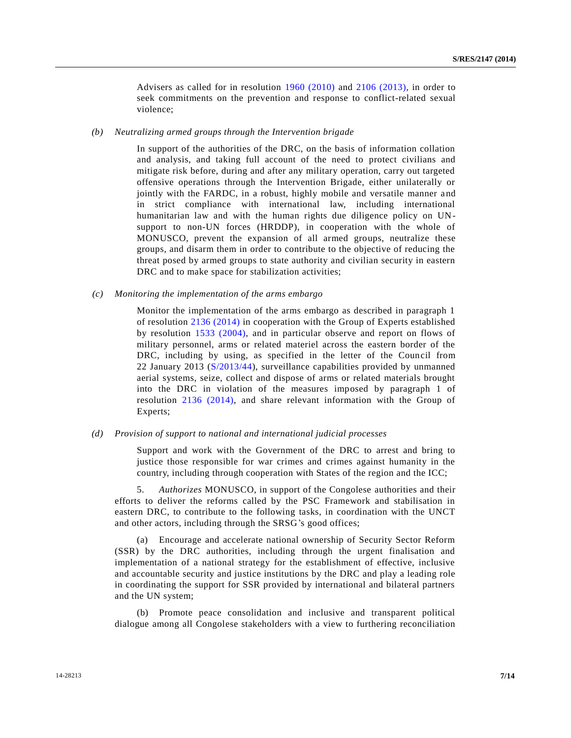Advisers as called for in resolution [1960 \(2010\)](http://undocs.org/S/RES/1960(2010)) and [2106 \(2013\),](http://undocs.org/S/RES/2106(2013)) in order to seek commitments on the prevention and response to conflict-related sexual violence;

#### *(b) Neutralizing armed groups through the Intervention brigade*

In support of the authorities of the DRC, on the basis of information collation and analysis, and taking full account of the need to protect civilians and mitigate risk before, during and after any military operation, carry out targeted offensive operations through the Intervention Brigade, either unilaterally or jointly with the FARDC, in a robust, highly mobile and versatile manner and in strict compliance with international law, including international humanitarian law and with the human rights due diligence policy on UNsupport to non-UN forces (HRDDP), in cooperation with the whole of MONUSCO, prevent the expansion of all armed groups, neutralize these groups, and disarm them in order to contribute to the objective of reducing the threat posed by armed groups to state authority and civilian security in eastern DRC and to make space for stabilization activities;

#### *(c) Monitoring the implementation of the arms embargo*

Monitor the implementation of the arms embargo as described in paragraph 1 of resolution [2136 \(2014\)](http://undocs.org/S/RES/2136(2014)) in cooperation with the Group of Experts established by resolution [1533 \(2004\),](http://undocs.org/S/RES/1533(2004)) and in particular observe and report on flows of military personnel, arms or related materiel across the eastern border of the DRC, including by using, as specified in the letter of the Council from 22 January 2013 [\(S/2013/44\)](http://undocs.org/S/2013/44), surveillance capabilities provided by unmanned aerial systems, seize, collect and dispose of arms or related materials brought into the DRC in violation of the measures imposed by paragraph 1 of resolution [2136 \(2014\),](http://undocs.org/S/RES/2136(2014)) and share relevant information with the Group of Experts;

#### *(d) Provision of support to national and international judicial processes*

Support and work with the Government of the DRC to arrest and bring to justice those responsible for war crimes and crimes against humanity in the country, including through cooperation with States of the region and the ICC;

5. *Authorizes* MONUSCO, in support of the Congolese authorities and their efforts to deliver the reforms called by the PSC Framework and stabilisation in eastern DRC, to contribute to the following tasks, in coordination with the UNCT and other actors, including through the SRSG's good offices;

(a) Encourage and accelerate national ownership of Security Sector Reform (SSR) by the DRC authorities, including through the urgent finalisation and implementation of a national strategy for the establishment of effective, inclusive and accountable security and justice institutions by the DRC and play a leading role in coordinating the support for SSR provided by international and bilateral partners and the UN system;

(b) Promote peace consolidation and inclusive and transparent political dialogue among all Congolese stakeholders with a view to furthering reconciliation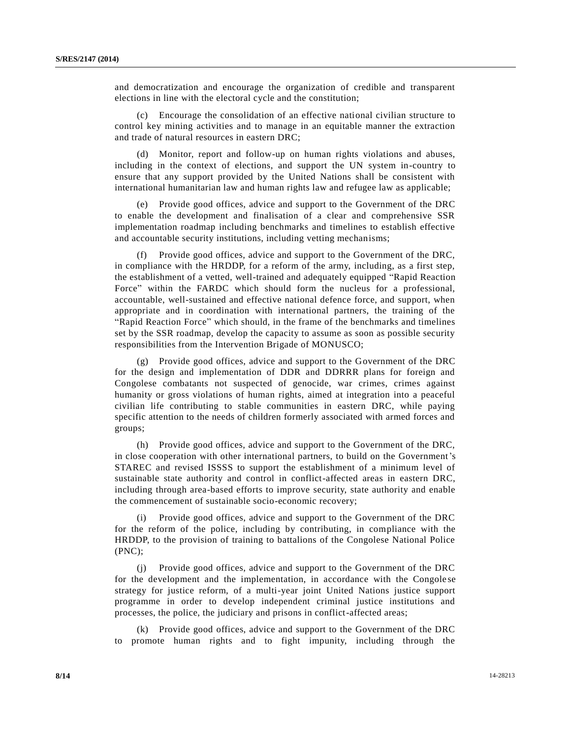and democratization and encourage the organization of credible and transparent elections in line with the electoral cycle and the constitution;

(c) Encourage the consolidation of an effective national civilian structure to control key mining activities and to manage in an equitable manner the extraction and trade of natural resources in eastern DRC;

(d) Monitor, report and follow-up on human rights violations and abuses, including in the context of elections, and support the UN system in-country to ensure that any support provided by the United Nations shall be consistent with international humanitarian law and human rights law and refugee law as applicable;

(e) Provide good offices, advice and support to the Government of the DRC to enable the development and finalisation of a clear and comprehensive SSR implementation roadmap including benchmarks and timelines to establish effective and accountable security institutions, including vetting mechanisms;

Provide good offices, advice and support to the Government of the DRC, in compliance with the HRDDP, for a reform of the army, including, as a first step, the establishment of a vetted, well-trained and adequately equipped "Rapid Reaction Force" within the FARDC which should form the nucleus for a professional, accountable, well-sustained and effective national defence force, and support, when appropriate and in coordination with international partners, the training of the "Rapid Reaction Force" which should, in the frame of the benchmarks and timelines set by the SSR roadmap, develop the capacity to assume as soon as possible security responsibilities from the Intervention Brigade of MONUSCO;

(g) Provide good offices, advice and support to the Government of the DRC for the design and implementation of DDR and DDRRR plans for foreign and Congolese combatants not suspected of genocide, war crimes, crimes against humanity or gross violations of human rights, aimed at integration into a peaceful civilian life contributing to stable communities in eastern DRC, while paying specific attention to the needs of children formerly associated with armed forces and groups;

(h) Provide good offices, advice and support to the Government of the DRC, in close cooperation with other international partners, to build on the Government's STAREC and revised ISSSS to support the establishment of a minimum level of sustainable state authority and control in conflict-affected areas in eastern DRC, including through area-based efforts to improve security, state authority and enable the commencement of sustainable socio-economic recovery;

(i) Provide good offices, advice and support to the Government of the DRC for the reform of the police, including by contributing, in compliance with the HRDDP, to the provision of training to battalions of the Congolese National Police (PNC);

Provide good offices, advice and support to the Government of the DRC for the development and the implementation, in accordance with the Congole se strategy for justice reform, of a multi-year joint United Nations justice support programme in order to develop independent criminal justice institutions and processes, the police, the judiciary and prisons in conflict-affected areas;

(k) Provide good offices, advice and support to the Government of the DRC to promote human rights and to fight impunity, including through the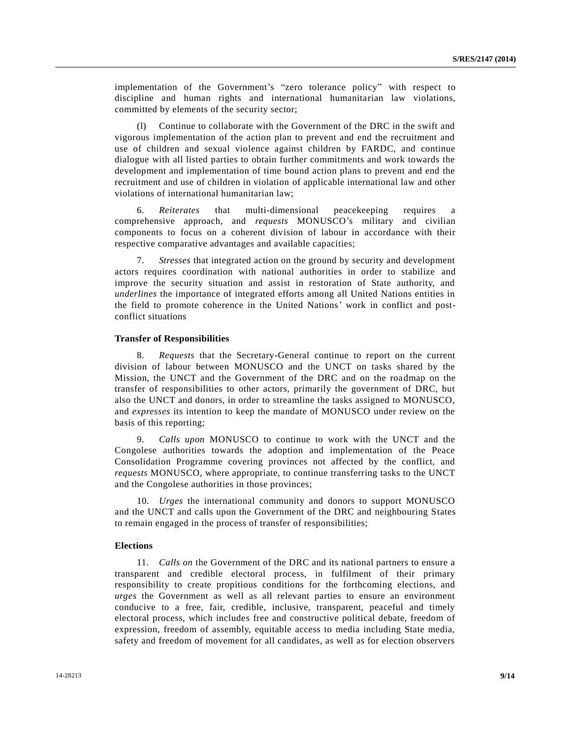implementation of the Government's "zero tolerance policy" with respect to discipline and human rights and international humanitarian law violations, committed by elements of the security sector;

(l) Continue to collaborate with the Government of the DRC in the swift and vigorous implementation of the action plan to prevent and end the recruitment and use of children and sexual violence against children by FARDC, and continue dialogue with all listed parties to obtain further commitments and work towards the development and implementation of time bound action plans to prevent and end the recruitment and use of children in violation of applicable international law and other violations of international humanitarian law;

6. *Reiterates* that multi-dimensional peacekeeping requires a comprehensive approach, and *requests* MONUSCO's military and civilian components to focus on a coherent division of labour in accordance with their respective comparative advantages and available capacities;

7. *Stresses* that integrated action on the ground by security and development actors requires coordination with national authorities in order to stabilize and improve the security situation and assist in restoration of State authority, and *underlines* the importance of integrated efforts among all United Nations entities in the field to promote coherence in the United Nations' work in conflict and postconflict situations

#### **Transfer of Responsibilities**

8. *Requests* that the Secretary-General continue to report on the current division of labour between MONUSCO and the UNCT on tasks shared by the Mission, the UNCT and the Government of the DRC and on the roadmap on the transfer of responsibilities to other actors, primarily the government of DRC, but also the UNCT and donors, in order to streamline the tasks assigned to MONUSCO, and *expresses* its intention to keep the mandate of MONUSCO under review on the basis of this reporting;

9. *Calls upon* MONUSCO to continue to work with the UNCT and the Congolese authorities towards the adoption and implementation of the Peace Consolidation Programme covering provinces not affected by the conflict, and *requests* MONUSCO, where appropriate, to continue transferring tasks to the UNCT and the Congolese authorities in those provinces;

10. *Urges* the international community and donors to support MONUSCO and the UNCT and calls upon the Government of the DRC and neighbouring States to remain engaged in the process of transfer of responsibilities;

#### **Elections**

11. *Calls on* the Government of the DRC and its national partners to ensure a transparent and credible electoral process, in fulfilment of their primary responsibility to create propitious conditions for the forthcoming elections, and *urges* the Government as well as all relevant parties to ensure an environment conducive to a free, fair, credible, inclusive, transparent, peaceful and timely electoral process, which includes free and constructive political debate, freedom of expression, freedom of assembly, equitable access to media including State media, safety and freedom of movement for all candidates, as well as for election observers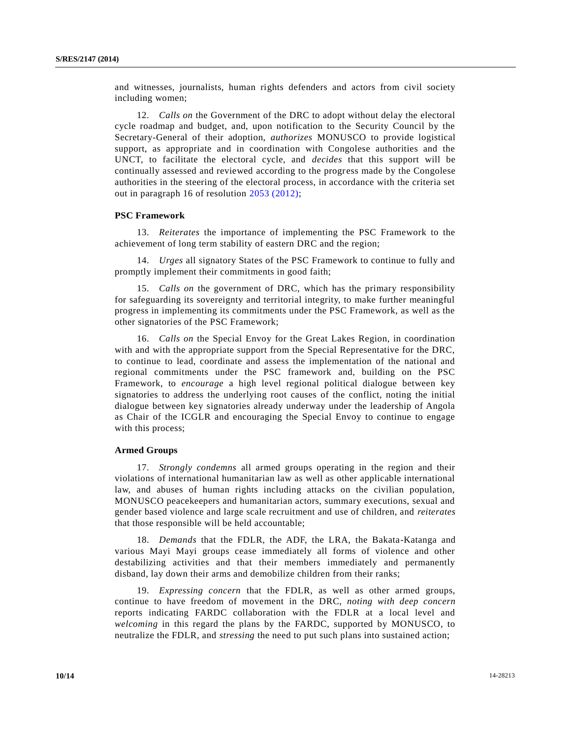and witnesses, journalists, human rights defenders and actors from civil society including women;

12. *Calls on* the Government of the DRC to adopt without delay the electoral cycle roadmap and budget, and, upon notification to the Security Council by the Secretary-General of their adoption, *authorizes* MONUSCO to provide logistical support, as appropriate and in coordination with Congolese authorities and the UNCT, to facilitate the electoral cycle, and *decides* that this support will be continually assessed and reviewed according to the progress made by the Congolese authorities in the steering of the electoral process, in accordance with the criteria set out in paragraph 16 of resolution [2053 \(2012\);](http://undocs.org/S/RES/2053(2012))

#### **PSC Framework**

13. *Reiterates* the importance of implementing the PSC Framework to the achievement of long term stability of eastern DRC and the region;

14. *Urges* all signatory States of the PSC Framework to continue to fully and promptly implement their commitments in good faith;

15. *Calls on* the government of DRC, which has the primary responsibility for safeguarding its sovereignty and territorial integrity, to make further meaningful progress in implementing its commitments under the PSC Framework, as well as the other signatories of the PSC Framework;

16. *Calls on* the Special Envoy for the Great Lakes Region, in coordination with and with the appropriate support from the Special Representative for the DRC, to continue to lead, coordinate and assess the implementation of the national and regional commitments under the PSC framework and, building on the PSC Framework, to *encourage* a high level regional political dialogue between key signatories to address the underlying root causes of the conflict, noting the initial dialogue between key signatories already underway under the leadership of Angola as Chair of the ICGLR and encouraging the Special Envoy to continue to engage with this process;

## **Armed Groups**

17. *Strongly condemns* all armed groups operating in the region and their violations of international humanitarian law as well as other applicable international law, and abuses of human rights including attacks on the civilian population, MONUSCO peacekeepers and humanitarian actors, summary executions, sexual and gender based violence and large scale recruitment and use of children, and *reiterates* that those responsible will be held accountable;

18. *Demands* that the FDLR, the ADF, the LRA, the Bakata-Katanga and various Mayi Mayi groups cease immediately all forms of violence and other destabilizing activities and that their members immediately and permanently disband, lay down their arms and demobilize children from their ranks;

19. *Expressing concern* that the FDLR, as well as other armed groups, continue to have freedom of movement in the DRC, *noting with deep concern*  reports indicating FARDC collaboration with the FDLR at a local level and *welcoming* in this regard the plans by the FARDC, supported by MONUSCO, to neutralize the FDLR, and *stressing* the need to put such plans into sustained action;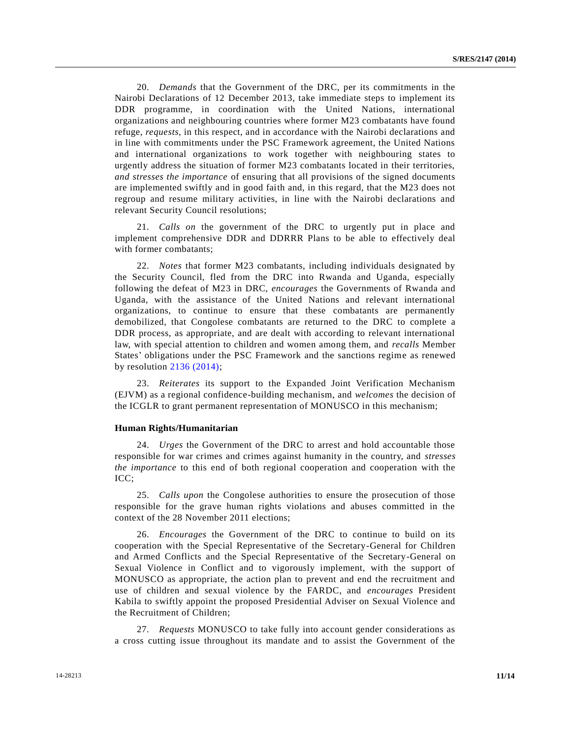20. *Demands* that the Government of the DRC, per its commitments in the Nairobi Declarations of 12 December 2013, take immediate steps to implement its DDR programme, in coordination with the United Nations, international organizations and neighbouring countries where former M23 combatants have found refuge, *requests*, in this respect, and in accordance with the Nairobi declarations and in line with commitments under the PSC Framework agreement, the United Nations and international organizations to work together with neighbouring states to urgently address the situation of former M23 combatants located in their territories, *and stresses the importance* of ensuring that all provisions of the signed documents are implemented swiftly and in good faith and, in this regard, that the M23 does not regroup and resume military activities, in line with the Nairobi declarations and relevant Security Council resolutions;

21. *Calls on* the government of the DRC to urgently put in place and implement comprehensive DDR and DDRRR Plans to be able to effectively deal with former combatants;

22. *Notes* that former M23 combatants, including individuals designated by the Security Council, fled from the DRC into Rwanda and Uganda, especially following the defeat of M23 in DRC, *encourages* the Governments of Rwanda and Uganda, with the assistance of the United Nations and relevant international organizations, to continue to ensure that these combatants are permanently demobilized, that Congolese combatants are returned to the DRC to complete a DDR process, as appropriate, and are dealt with according to relevant international law, with special attention to children and women among them, and *recalls* Member States' obligations under the PSC Framework and the sanctions regime as renewed by resolution [2136 \(2014\);](http://undocs.org/S/RES/2136(2014))

23. *Reiterates* its support to the Expanded Joint Verification Mechanism (EJVM) as a regional confidence-building mechanism, and *welcomes* the decision of the ICGLR to grant permanent representation of MONUSCO in this mechanism;

#### **Human Rights/Humanitarian**

24. *Urges* the Government of the DRC to arrest and hold accountable those responsible for war crimes and crimes against humanity in the country, and *stresses the importance* to this end of both regional cooperation and cooperation with the ICC;

25. *Calls upon* the Congolese authorities to ensure the prosecution of those responsible for the grave human rights violations and abuses committed in the context of the 28 November 2011 elections;

26. *Encourages* the Government of the DRC to continue to build on its cooperation with the Special Representative of the Secretary-General for Children and Armed Conflicts and the Special Representative of the Secretary-General on Sexual Violence in Conflict and to vigorously implement, with the support of MONUSCO as appropriate, the action plan to prevent and end the recruitment and use of children and sexual violence by the FARDC, and *encourages* President Kabila to swiftly appoint the proposed Presidential Adviser on Sexual Violence and the Recruitment of Children;

27. *Requests* MONUSCO to take fully into account gender considerations as a cross cutting issue throughout its mandate and to assist the Government of the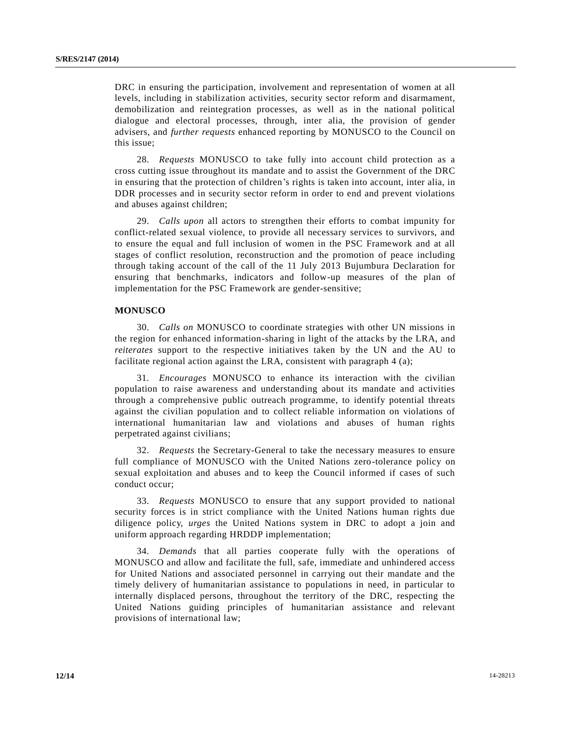DRC in ensuring the participation, involvement and representation of women at all levels, including in stabilization activities, security sector reform and disarmament, demobilization and reintegration processes, as well as in the national political dialogue and electoral processes, through, inter alia, the provision of gender advisers, and *further requests* enhanced reporting by MONUSCO to the Council on this issue;

28. *Requests* MONUSCO to take fully into account child protection as a cross cutting issue throughout its mandate and to assist the Government of the DRC in ensuring that the protection of children's rights is taken into account, inter alia, in DDR processes and in security sector reform in order to end and prevent violations and abuses against children;

29. *Calls upon* all actors to strengthen their efforts to combat impunity for conflict-related sexual violence, to provide all necessary services to survivors, and to ensure the equal and full inclusion of women in the PSC Framework and at all stages of conflict resolution, reconstruction and the promotion of peace including through taking account of the call of the 11 July 2013 Bujumbura Declaration for ensuring that benchmarks, indicators and follow-up measures of the plan of implementation for the PSC Framework are gender-sensitive;

## **MONUSCO**

30. *Calls on* MONUSCO to coordinate strategies with other UN missions in the region for enhanced information-sharing in light of the attacks by the LRA, and *reiterates* support to the respective initiatives taken by the UN and the AU to facilitate regional action against the LRA, consistent with paragraph 4 (a);

31. *Encourages* MONUSCO to enhance its interaction with the civilian population to raise awareness and understanding about its mandate and activities through a comprehensive public outreach programme, to identify potential threats against the civilian population and to collect reliable information on violations of international humanitarian law and violations and abuses of human rights perpetrated against civilians;

32. *Requests* the Secretary-General to take the necessary measures to ensure full compliance of MONUSCO with the United Nations zero-tolerance policy on sexual exploitation and abuses and to keep the Council informed if cases of such conduct occur;

33. *Requests* MONUSCO to ensure that any support provided to national security forces is in strict compliance with the United Nations human rights due diligence policy, *urges* the United Nations system in DRC to adopt a join and uniform approach regarding HRDDP implementation;

34. *Demands* that all parties cooperate fully with the operations of MONUSCO and allow and facilitate the full, safe, immediate and unhindered access for United Nations and associated personnel in carrying out their mandate and the timely delivery of humanitarian assistance to populations in need, in particular to internally displaced persons, throughout the territory of the DRC, respecting the United Nations guiding principles of humanitarian assistance and relevant provisions of international law;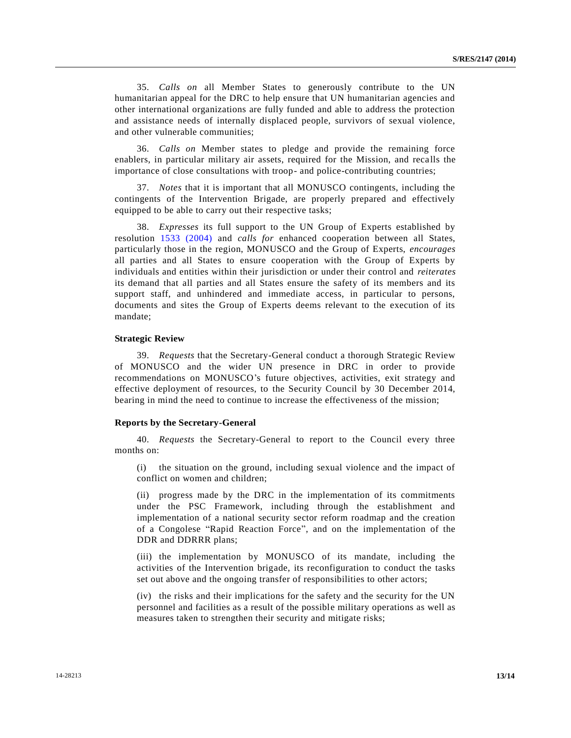35. *Calls on* all Member States to generously contribute to the UN humanitarian appeal for the DRC to help ensure that UN humanitarian agencies and other international organizations are fully funded and able to address the protection and assistance needs of internally displaced people, survivors of sexual violence, and other vulnerable communities;

36. *Calls on* Member states to pledge and provide the remaining force enablers, in particular military air assets, required for the Mission, and reca lls the importance of close consultations with troop- and police-contributing countries;

37. *Notes* that it is important that all MONUSCO contingents, including the contingents of the Intervention Brigade, are properly prepared and effectively equipped to be able to carry out their respective tasks;

38. *Expresses* its full support to the UN Group of Experts established by resolution [1533 \(2004\)](http://undocs.org/S/RES/1533(2004)) and *calls for* enhanced cooperation between all States, particularly those in the region, MONUSCO and the Group of Experts, *encourages* all parties and all States to ensure cooperation with the Group of Experts by individuals and entities within their jurisdiction or under their control and *reiterates* its demand that all parties and all States ensure the safety of its members and its support staff, and unhindered and immediate access, in particular to persons, documents and sites the Group of Experts deems relevant to the execution of its mandate;

#### **Strategic Review**

39. *Requests* that the Secretary-General conduct a thorough Strategic Review of MONUSCO and the wider UN presence in DRC in order to provide recommendations on MONUSCO's future objectives, activities, exit strategy and effective deployment of resources, to the Security Council by 30 December 2014, bearing in mind the need to continue to increase the effectiveness of the mission;

#### **Reports by the Secretary-General**

40. *Requests* the Secretary-General to report to the Council every three months on:

(i) the situation on the ground, including sexual violence and the impact of conflict on women and children;

(ii) progress made by the DRC in the implementation of its commitments under the PSC Framework, including through the establishment and implementation of a national security sector reform roadmap and the creation of a Congolese "Rapid Reaction Force", and on the implementation of the DDR and DDRRR plans;

(iii) the implementation by MONUSCO of its mandate, including the activities of the Intervention brigade, its reconfiguration to conduct the tasks set out above and the ongoing transfer of responsibilities to other actors;

(iv) the risks and their implications for the safety and the security for the UN personnel and facilities as a result of the possible military operations as well as measures taken to strengthen their security and mitigate risks;